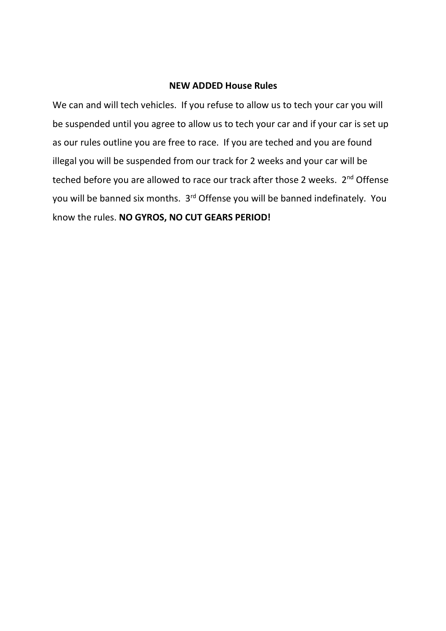#### **NEW ADDED House Rules**

We can and will tech vehicles. If you refuse to allow us to tech your car you will be suspended until you agree to allow us to tech your car and if your car is set up as our rules outline you are free to race. If you are teched and you are found illegal you will be suspended from our track for 2 weeks and your car will be teched before you are allowed to race our track after those 2 weeks. 2<sup>nd</sup> Offense you will be banned six months. 3<sup>rd</sup> Offense you will be banned indefinately. You know the rules. **NO GYROS, NO CUT GEARS PERIOD!**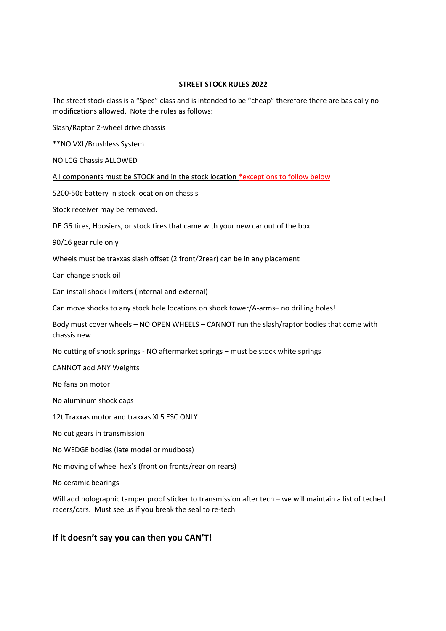#### **STREET STOCK RULES 2022**

The street stock class is a "Spec" class and is intended to be "cheap" therefore there are basically no modifications allowed. Note the rules as follows:

Slash/Raptor 2-wheel drive chassis

\*\*NO VXL/Brushless System

NO LCG Chassis ALLOWED

All components must be STOCK and in the stock location \*exceptions to follow below

5200-50c battery in stock location on chassis

Stock receiver may be removed.

DE G6 tires, Hoosiers, or stock tires that came with your new car out of the box

90/16 gear rule only

Wheels must be traxxas slash offset (2 front/2rear) can be in any placement

Can change shock oil

Can install shock limiters (internal and external)

Can move shocks to any stock hole locations on shock tower/A-arms– no drilling holes!

Body must cover wheels – NO OPEN WHEELS – CANNOT run the slash/raptor bodies that come with chassis new

No cutting of shock springs - NO aftermarket springs – must be stock white springs

CANNOT add ANY Weights

No fans on motor

No aluminum shock caps

12t Traxxas motor and traxxas XL5 ESC ONLY

No cut gears in transmission

No WEDGE bodies (late model or mudboss)

No moving of wheel hex's (front on fronts/rear on rears)

No ceramic bearings

Will add holographic tamper proof sticker to transmission after tech – we will maintain a list of teched racers/cars. Must see us if you break the seal to re-tech

### **If it doesn't say you can then you CAN'T!**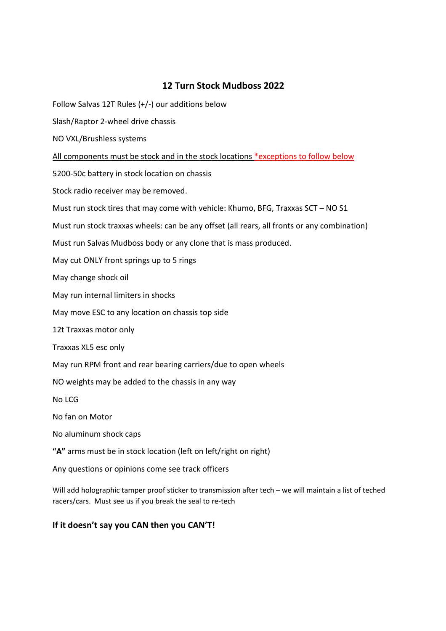# **12 Turn Stock Mudboss 2022**

Follow Salvas 12T Rules (+/-) our additions below

Slash/Raptor 2-wheel drive chassis

NO VXL/Brushless systems

All components must be stock and in the stock locations \*exceptions to follow below

5200-50c battery in stock location on chassis

Stock radio receiver may be removed.

Must run stock tires that may come with vehicle: Khumo, BFG, Traxxas SCT – NO S1

Must run stock traxxas wheels: can be any offset (all rears, all fronts or any combination)

Must run Salvas Mudboss body or any clone that is mass produced.

May cut ONLY front springs up to 5 rings

May change shock oil

May run internal limiters in shocks

May move ESC to any location on chassis top side

12t Traxxas motor only

Traxxas XL5 esc only

May run RPM front and rear bearing carriers/due to open wheels

NO weights may be added to the chassis in any way

No LCG

No fan on Motor

No aluminum shock caps

**"A"** arms must be in stock location (left on left/right on right)

Any questions or opinions come see track officers

Will add holographic tamper proof sticker to transmission after tech – we will maintain a list of teched racers/cars. Must see us if you break the seal to re-tech

## **If it doesn't say you CAN then you CAN'T!**